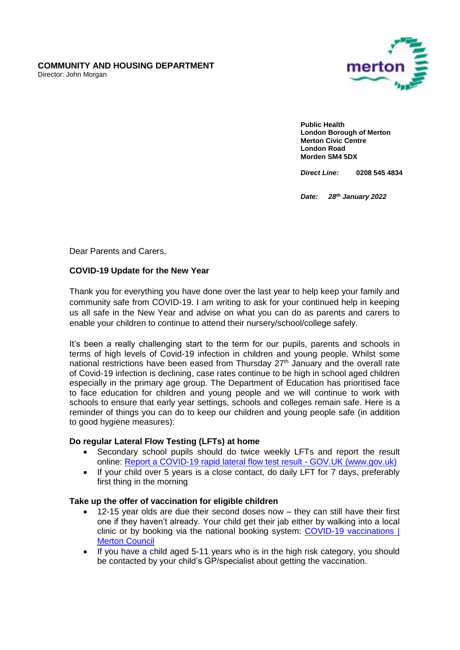

**Public Health London Borough of Merton Merton Civic Centre London Road Morden SM4 5DX**

*Direct Line:* **0208 545 4834**

*Date: 28th January 2022*

Dear Parents and Carers,

## **COVID-19 Update for the New Year**

Thank you for everything you have done over the last year to help keep your family and community safe from COVID-19. I am writing to ask for your continued help in keeping us all safe in the New Year and advise on what you can do as parents and carers to enable your children to continue to attend their nursery/school/college safely.

It's been a really challenging start to the term for our pupils, parents and schools in terms of high levels of Covid-19 infection in children and young people. Whilst some national restrictions have been eased from Thursday 27<sup>th</sup> January and the overall rate of Covid-19 infection is declining, case rates continue to be high in school aged children especially in the primary age group. The Department of Education has prioritised face to face education for children and young people and we will continue to work with schools to ensure that early year settings, schools and colleges remain safe. Here is a reminder of things you can do to keep our children and young people safe (in addition to good hygiene measures):

## **Do regular Lateral Flow Testing (LFTs) at home**

- Secondary school pupils should do twice weekly LFTs and report the result online: [Report a COVID-19 rapid lateral flow test result -](https://www.gov.uk/report-covid19-result) GOV.UK (www.gov.uk)
- If your child over 5 years is a close contact, do daily LFT for 7 days, preferably first thing in the morning

## **Take up the offer of vaccination for eligible children**

- 12-15 year olds are due their second doses now they can still have their first one if they haven't already. Your child get their jab either by walking into a local clinic or by booking via the national booking system: [COVID-19 vaccinations |](https://www.merton.gov.uk/coronavirus/vaccinations)  [Merton Council](https://www.merton.gov.uk/coronavirus/vaccinations)
- If you have a child aged 5-11 years who is in the high risk category, you should be contacted by your child's GP/specialist about getting the vaccination.